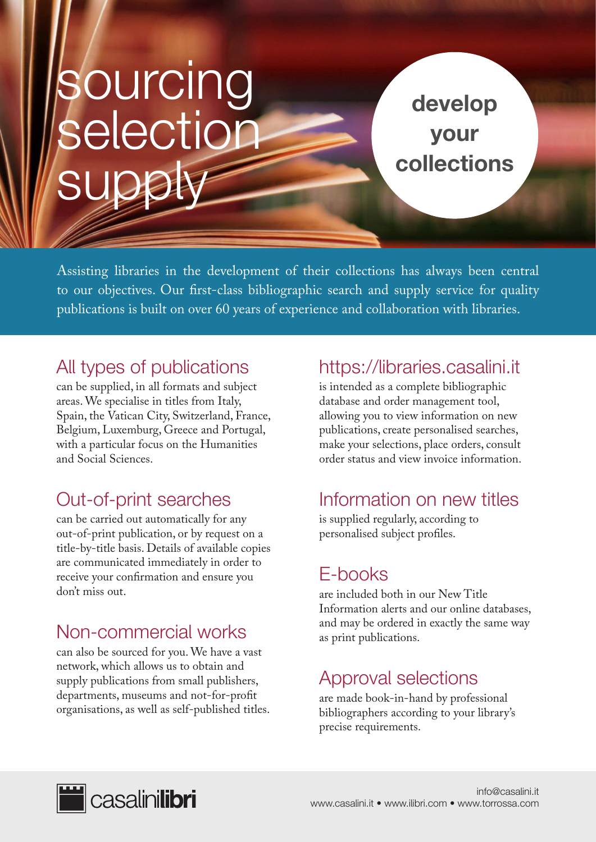# sourcing selection supply

develop your collections

Assisting libraries in the development of their collections has always been central to our objectives. Our first-class bibliographic search and supply service for quality publications is built on over 60 years of experience and collaboration with libraries.

#### All types of publications

can be supplied, in all formats and subject areas. We specialise in titles from Italy, Spain, the Vatican City, Switzerland, France, Belgium, Luxemburg, Greece and Portugal, with a particular focus on the Humanities and Social Sciences.

# Out-of-print searches

can be carried out automatically for any out-of-print publication, or by request on a title-by-title basis. Details of available copies are communicated immediately in order to receive your confirmation and ensure you don't miss out.

## Non-commercial works

can also be sourced for you. We have a vast network, which allows us to obtain and supply publications from small publishers, departments, museums and not-for-profit organisations, as well as self-published titles.

#### https://libraries.casalini.it

is intended as a complete bibliographic database and order management tool, allowing you to view information on new publications, create personalised searches, make your selections, place orders, consult order status and view invoice information.

## Information on new titles

is supplied regularly, according to personalised subject profiles.

#### E-books

are included both in our New Title Information alerts and our online databases, and may be ordered in exactly the same way as print publications.

## Approval selections

are made book-in-hand by professional bibliographers according to your library's precise requirements.